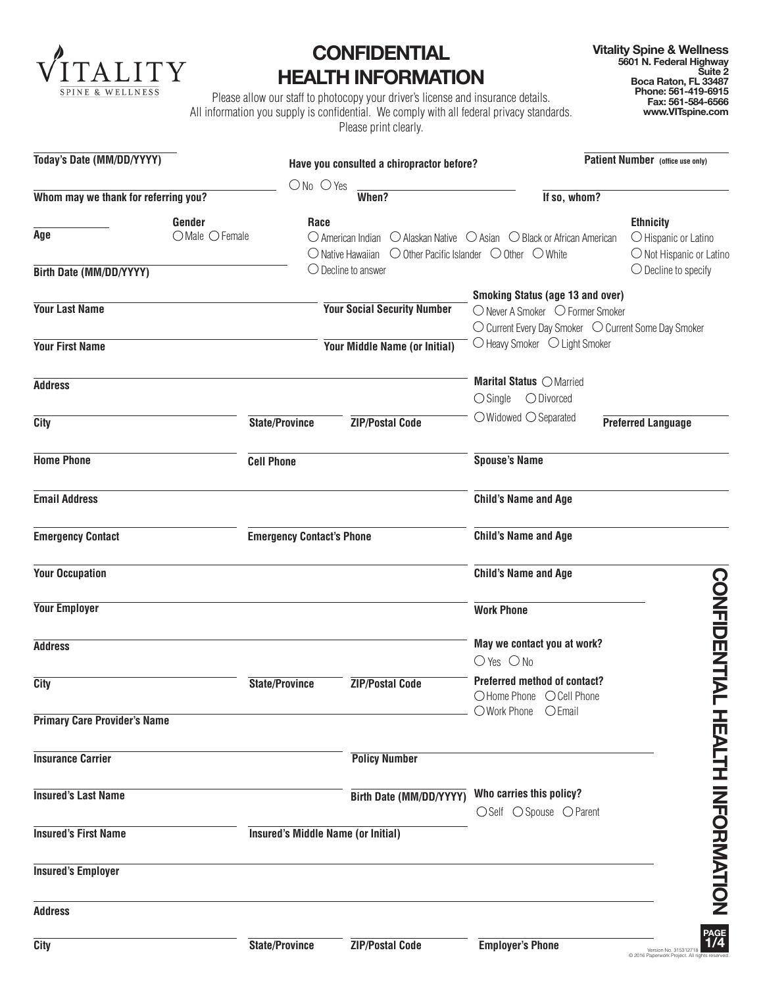

## **CONFIDENTIAL HEALTH INFORMATION**

**Vitality Spine & Wellness 5601 N. Federal Highway Suite 2 Boca Raton, FL 33487 Phone: 561-419-6915 Fax: 561-584-6566 www.VITspine.com**

Please allow our staff to photocopy your driver's license and insurance details. All information you supply is confidential. We comply with all federal privacy standards. Please print clearly.

| Today's Date (MM/DD/YYYY)            |                          |                                           | Have you consulted a chiropractor before?                                                      |                                                                                                                                                                      | Patient Number (office use only)                                              |
|--------------------------------------|--------------------------|-------------------------------------------|------------------------------------------------------------------------------------------------|----------------------------------------------------------------------------------------------------------------------------------------------------------------------|-------------------------------------------------------------------------------|
| Whom may we thank for referring you? |                          | $ONo$ $O$ Yes                             | When?                                                                                          | If so, whom?                                                                                                                                                         |                                                                               |
| Age                                  | Gender<br>OMale O Female | Race                                      | $\bigcirc$ Native Hawaiian $\bigcirc$ Other Pacific Islander $\bigcirc$ Other $\bigcirc$ White | $\bigcirc$ American Indian $\bigcirc$ Alaskan Native $\bigcirc$ Asian $\bigcirc$ Black or African American                                                           | <b>Ethnicity</b><br>$\bigcirc$ Hispanic or Latino<br>O Not Hispanic or Latino |
| Birth Date (MM/DD/YYYY)              |                          |                                           | $\bigcirc$ Decline to answer                                                                   |                                                                                                                                                                      | $\bigcirc$ Decline to specify                                                 |
| <b>Your Last Name</b>                |                          |                                           | <b>Your Social Security Number</b>                                                             | <b>Smoking Status (age 13 and over)</b><br>○ Never A Smoker ○ Former Smoker<br>○ Current Every Day Smoker ○ Current Some Day Smoker<br>○ Heavy Smoker ○ Light Smoker |                                                                               |
| <b>Your First Name</b>               |                          |                                           | Your Middle Name (or Initial)                                                                  |                                                                                                                                                                      |                                                                               |
| <b>Address</b>                       |                          |                                           |                                                                                                | Marital Status O Married<br>$\bigcirc$ Single $\bigcirc$ Divorced                                                                                                    |                                                                               |
| City                                 |                          | <b>State/Province</b>                     | <b>ZIP/Postal Code</b>                                                                         | $\bigcirc$ Widowed $\bigcirc$ Separated                                                                                                                              | <b>Preferred Language</b>                                                     |
| <b>Home Phone</b>                    |                          | <b>Cell Phone</b>                         |                                                                                                | <b>Spouse's Name</b>                                                                                                                                                 |                                                                               |
| <b>Email Address</b>                 |                          |                                           |                                                                                                | <b>Child's Name and Age</b>                                                                                                                                          |                                                                               |
| <b>Emergency Contact</b>             |                          | <b>Emergency Contact's Phone</b>          |                                                                                                | <b>Child's Name and Age</b>                                                                                                                                          |                                                                               |
| <b>Your Occupation</b>               |                          |                                           |                                                                                                | <b>Child's Name and Age</b>                                                                                                                                          |                                                                               |
| <b>Your Employer</b>                 |                          |                                           |                                                                                                | <b>Work Phone</b>                                                                                                                                                    |                                                                               |
| <b>Address</b>                       |                          |                                           |                                                                                                | May we contact you at work?<br>$O$ Yes $O$ No                                                                                                                        | <b>CONFIDENTIAL</b>                                                           |
| City                                 |                          | <b>State/Province</b>                     | <b>ZIP/Postal Code</b>                                                                         | <b>Preferred method of contact?</b><br>○Home Phone ○ Cell Phone                                                                                                      |                                                                               |
| <b>Primary Care Provider's Name</b>  |                          |                                           |                                                                                                | OWork Phone OEmail                                                                                                                                                   |                                                                               |
| <b>Insurance Carrier</b>             |                          |                                           | <b>Policy Number</b>                                                                           |                                                                                                                                                                      |                                                                               |
| <b>Insured's Last Name</b>           |                          |                                           | <b>Birth Date (MM/DD/YYYY)</b>                                                                 | Who carries this policy?<br>○Self ○ Spouse ○ Parent                                                                                                                  | <b>HEALIH NHORNAHION</b>                                                      |
| <b>Insured's First Name</b>          |                          | <b>Insured's Middle Name (or Initial)</b> |                                                                                                |                                                                                                                                                                      |                                                                               |
| <b>Insured's Employer</b>            |                          |                                           |                                                                                                |                                                                                                                                                                      |                                                                               |
| <b>Address</b>                       |                          |                                           |                                                                                                |                                                                                                                                                                      |                                                                               |
| <b>City</b>                          |                          | <b>State/Province</b>                     | <b>ZIP/Postal Code</b>                                                                         | <b>Employer's Phone</b>                                                                                                                                              | PAGE<br>1/4<br>Version No. 315312718<br>C 2016 Paperwork Project. All righ    |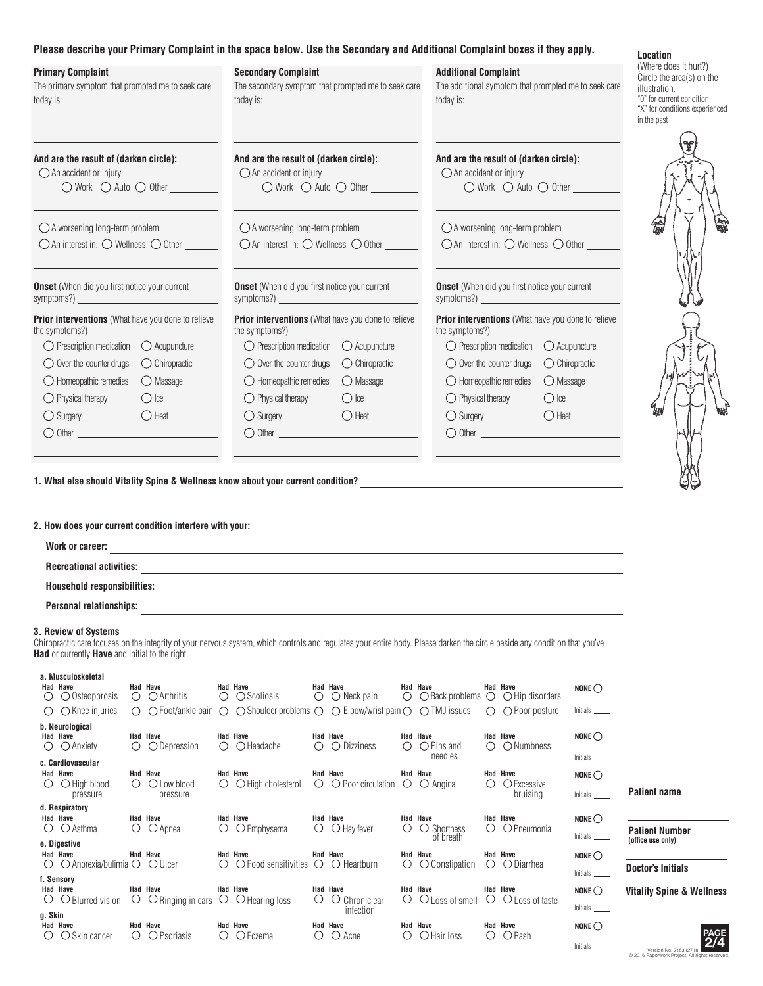## **Please describe your Primary Complaint in the space below. Use the Secondary and Additional Complaint boxes if they apply.**

| <b>Primary Complaint</b><br>The primary symptom that prompted me to seek care                                                                                                         | <b>Secondary Complaint</b><br>The secondary symptom that prompted me to seek care                                                                                                                         | <b>Additional Complaint</b><br>The additional symptom that prompted me to seek care<br>today is: <u>www.common.common.common.common.com</u> | Location<br>(Where does it hurt?)<br>Circle the area(s) on the<br>illustration.<br>"0" for current condition<br>"X" for conditions experienced<br>in the past |
|---------------------------------------------------------------------------------------------------------------------------------------------------------------------------------------|-----------------------------------------------------------------------------------------------------------------------------------------------------------------------------------------------------------|---------------------------------------------------------------------------------------------------------------------------------------------|---------------------------------------------------------------------------------------------------------------------------------------------------------------|
| And are the result of (darken circle):                                                                                                                                                | And are the result of (darken circle):                                                                                                                                                                    | And are the result of (darken circle):                                                                                                      |                                                                                                                                                               |
| $\bigcirc$ An accident or injury                                                                                                                                                      | $\bigcirc$ An accident or injury                                                                                                                                                                          | $\bigcirc$ An accident or injury                                                                                                            |                                                                                                                                                               |
| $\bigcirc$ Work $\bigcirc$ Auto $\bigcirc$ Other                                                                                                                                      | $\bigcirc$ Work $\bigcirc$ Auto $\bigcirc$ Other                                                                                                                                                          | $\bigcirc$ Work $\bigcirc$ Auto $\bigcirc$ Other                                                                                            |                                                                                                                                                               |
| $\bigcirc$ A worsening long-term problem                                                                                                                                              | $\bigcirc$ A worsening long-term problem                                                                                                                                                                  | $\bigcirc$ A worsening long-term problem                                                                                                    |                                                                                                                                                               |
| $\bigcirc$ An interest in: $\bigcirc$ Wellness $\bigcirc$ Other                                                                                                                       | $\bigcirc$ An interest in: $\bigcirc$ Wellness $\bigcirc$ Other                                                                                                                                           | $\bigcirc$ An interest in: $\bigcirc$ Wellness $\bigcirc$ Other                                                                             |                                                                                                                                                               |
| <b>Onset</b> (When did you first notice your current                                                                                                                                  | <b>Onset</b> (When did you first notice your current                                                                                                                                                      | <b>Onset</b> (When did you first notice your current                                                                                        |                                                                                                                                                               |
| symptoms?)                                                                                                                                                                            |                                                                                                                                                                                                           | symptoms?) $\qquad \qquad$                                                                                                                  |                                                                                                                                                               |
| Prior interventions (What have you done to relieve                                                                                                                                    | Prior interventions (What have you done to relieve                                                                                                                                                        | Prior interventions (What have you done to relieve                                                                                          |                                                                                                                                                               |
| the symptoms?)                                                                                                                                                                        | the symptoms?)                                                                                                                                                                                            | the symptoms?)                                                                                                                              |                                                                                                                                                               |
| ◯ Prescription medication ◯ Acupuncture                                                                                                                                               | $\bigcirc$ Prescription medication $\bigcirc$ Acupuncture                                                                                                                                                 | $\bigcirc$ Prescription medication $\bigcirc$ Acupuncture                                                                                   |                                                                                                                                                               |
| $\bigcirc$ Over-the-counter drugs                                                                                                                                                     | ◯ Over-the-counter drugs                                                                                                                                                                                  | $\bigcirc$ Over-the-counter drugs                                                                                                           |                                                                                                                                                               |
| $\bigcirc$ Chiropractic                                                                                                                                                               | $\bigcirc$ Chiropractic                                                                                                                                                                                   | $\bigcirc$ Chiropractic                                                                                                                     |                                                                                                                                                               |
| $\bigcirc$ Homeopathic remedies                                                                                                                                                       | $\bigcirc$ Homeopathic remedies                                                                                                                                                                           | $\bigcirc$ Homeopathic remedies                                                                                                             |                                                                                                                                                               |
| ◯ Massage                                                                                                                                                                             | ◯ Massage                                                                                                                                                                                                 | $\bigcirc$ Massage                                                                                                                          |                                                                                                                                                               |
| $\bigcirc$ Ice                                                                                                                                                                        | $\bigcirc$ Physical therapy                                                                                                                                                                               | $\bigcirc$ Physical therapy                                                                                                                 |                                                                                                                                                               |
| $\bigcirc$ Physical therapy                                                                                                                                                           | $\bigcirc$ Ice                                                                                                                                                                                            | $\bigcirc$ Ice                                                                                                                              |                                                                                                                                                               |
| $\bigcirc$ Surgery                                                                                                                                                                    | $\bigcirc$ Surgery                                                                                                                                                                                        | $\bigcirc$ Surgery                                                                                                                          |                                                                                                                                                               |
| $\bigcirc$ Heat                                                                                                                                                                       | $\bigcirc$ Heat                                                                                                                                                                                           | $\bigcirc$ Heat                                                                                                                             |                                                                                                                                                               |
| $\bigcirc$ Other $\qquad \qquad$                                                                                                                                                      | $\bigcirc$ Other $\qquad \qquad$                                                                                                                                                                          | $\bigcirc$ Other $\qquad \qquad$                                                                                                            |                                                                                                                                                               |
| 2. How does your current condition interfere with your:<br>Work or career:<br><b>Recreational activities:</b><br><b>Household responsibilities:</b><br><b>Personal relationships:</b> | 1. What else should Vitality Spine & Wellness know about your current condition?<br><u> 1980 - Andrea Station Barbara, actor a component de la componentación de la componentación de la componentaci</u> |                                                                                                                                             |                                                                                                                                                               |

## **3. Review of Systems**

Chiropractic care focuses on the integrity of your nervous system, which controls and regulates your entire body. Please darken the circle beside any condition that you've **Had** or currently **Have** and initial to the right.

| a. Musculoskeletal<br>Had Have<br>$\bigcirc$ Osteoporosis<br>$\left( \right)$<br>$\bigcirc$ $\bigcirc$ Knee injuries | <b>Had Have</b><br>$\bigcirc$ $\bigcirc$ Arthritis       | Had Have<br>$\bigcirc$ $\bigcirc$ Scoliosis<br>$\circ$ $\circ$ $\circ$ Foot/ankle pain $\circ$ $\circ$ Shoulder problems $\circ$ $\circ$ Elbow/wrist pain $\circ$ $\circ$ TMJ issues | <b>Had Have</b><br>$\bigcirc$ $\bigcirc$ Neck pain                               | <b>Had Have</b>                                       | <b>Had Have</b><br>$\bigcirc$ $\bigcirc$ Back problems $\bigcirc$ $\bigcirc$ Hip disorders<br>$\bigcirc$ $\bigcirc$ Poor posture | NONE $\bigcirc$<br>Initials                        |                                      |
|----------------------------------------------------------------------------------------------------------------------|----------------------------------------------------------|--------------------------------------------------------------------------------------------------------------------------------------------------------------------------------------|----------------------------------------------------------------------------------|-------------------------------------------------------|----------------------------------------------------------------------------------------------------------------------------------|----------------------------------------------------|--------------------------------------|
| b. Neurological<br>Had Have<br>$\bigcirc$ $\bigcirc$ Anxiety                                                         | Had Have<br>◯ Depression                                 | <b>Had Have</b><br>$\bigcirc$ Headache<br>$\left(\begin{array}{c} \end{array}\right)$                                                                                                | <b>Had Have</b><br>$\bigcirc$ Dizziness                                          | <b>Had Have</b><br>$\bigcirc$ Pins and<br>needles     | <b>Had Have</b><br>○ Numbness<br>$\left( \right)$                                                                                | $NONE$<br>Initials                                 |                                      |
| c. Cardiovascular<br>Had Have<br>$\bigcirc$ High blood<br>$\left( \right)$<br>pressure                               | <b>Had Have</b><br>$\bigcirc$ Low blood<br>∩<br>pressure | <b>Had Have</b><br>$\bigcirc$ High cholesterol<br>$\bigcirc$                                                                                                                         | <b>Had Have</b><br>$\bigcirc$ $\bigcirc$ Poor circulation                        | <b>Had Have</b><br>$\bigcirc$ $\bigcirc$ Angina       | <b>Had Have</b><br>○ Excessive<br>()<br>bruising                                                                                 | NONE $\bigcirc$<br><b>Patient name</b><br>Initials |                                      |
| d. Respiratory<br>Had Have<br>$\bigcirc$ $\bigcirc$ Asthma                                                           | <b>Had Have</b><br>$O$ Apnea<br>( )                      | <b>Had Have</b><br>$\bigcirc$ Emphysema<br>$\left( \right)$                                                                                                                          | <b>Had Have</b><br>$\bigcirc$ $\bigcirc$ Hay fever                               | <b>Had Have</b><br>○ Shortness<br>$\left( \right)$    | <b>Had Have</b><br>O Pneumonia<br>$\left( \right)$                                                                               | NONE $\bigcirc$                                    | <b>Patient Number</b>                |
|                                                                                                                      |                                                          |                                                                                                                                                                                      |                                                                                  | of breath                                             |                                                                                                                                  | Initials                                           |                                      |
| e. Digestive<br>Had Have<br>$\circ$ $\circ$ Anorexia/bulimia $\circ$ $\circ$ Ulcer                                   | Had Have                                                 | <b>Had Have</b><br>$\left(\right)$                                                                                                                                                   | <b>Had Have</b><br>$\bigcirc$ Food sensitivities $\bigcirc$ $\bigcirc$ Heartburn | <b>Had Have</b><br>O Constipation<br>$\left( \right)$ | <b>Had Have</b><br>$\circ$ $\circ$ Diarrhea                                                                                      | (office use only)<br>NONE $\bigcirc$<br>Initials   | <b>Doctor's Initials</b>             |
| f. Sensory<br>Had Have<br>$\circ$ $\circ$ Blurred vision<br>g. Skin                                                  | <b>Had Have</b>                                          | Had Have<br>$\circ$ $\circ$ $\circ$ Ringing in ears $\circ$ $\circ$ Hearing loss                                                                                                     | <b>Had Have</b><br>$\left( \right)$<br>$\circ$ Chronic ear<br>infection          | <b>Had Have</b>                                       | Had Have<br>$\circ$ $\circ$ Loss of smell $\circ$ $\circ$ Loss of taste                                                          | NONE $\bigcirc$<br>Initials                        | <b>Vitality Spine &amp; Wellness</b> |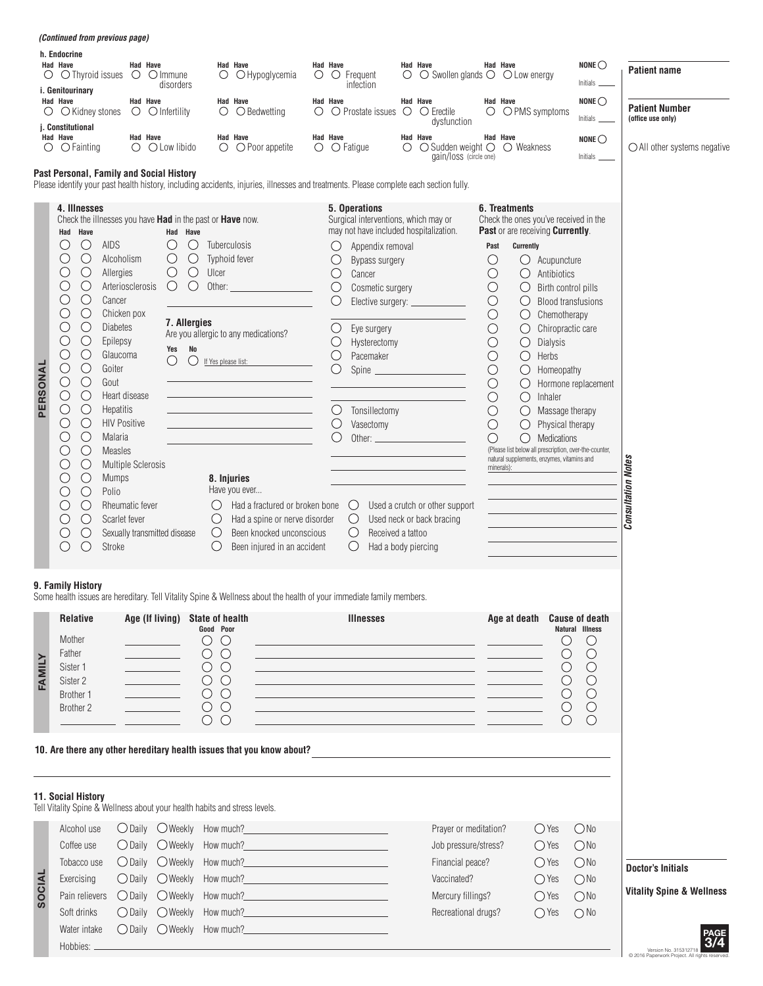|               | <i>(Continued from previous page)</i>                                                                                                                                                                                                                                                                                                                                                                                                                                                                                                                                                                                                                                                                                                                                                                                                      |                                                                                                                                                          |                                                                                                                                                                                                                                                           |                                                                                                                                                                                                                                                                                                                                   |                 |                                                                                                                                                                                         |                                                                                                                                                                                                                                                                                                    |   |                                                                                                                                                                                                                                                                                                                                                                                                    |                                                                                                                                                                                                 |                                                                                                                                                                                                                                                                                                                                                                                                                          |                                                                                                                                                                                            |                                                                                                                                            |                                                                                                                                       |
|---------------|--------------------------------------------------------------------------------------------------------------------------------------------------------------------------------------------------------------------------------------------------------------------------------------------------------------------------------------------------------------------------------------------------------------------------------------------------------------------------------------------------------------------------------------------------------------------------------------------------------------------------------------------------------------------------------------------------------------------------------------------------------------------------------------------------------------------------------------------|----------------------------------------------------------------------------------------------------------------------------------------------------------|-----------------------------------------------------------------------------------------------------------------------------------------------------------------------------------------------------------------------------------------------------------|-----------------------------------------------------------------------------------------------------------------------------------------------------------------------------------------------------------------------------------------------------------------------------------------------------------------------------------|-----------------|-----------------------------------------------------------------------------------------------------------------------------------------------------------------------------------------|----------------------------------------------------------------------------------------------------------------------------------------------------------------------------------------------------------------------------------------------------------------------------------------------------|---|----------------------------------------------------------------------------------------------------------------------------------------------------------------------------------------------------------------------------------------------------------------------------------------------------------------------------------------------------------------------------------------------------|-------------------------------------------------------------------------------------------------------------------------------------------------------------------------------------------------|--------------------------------------------------------------------------------------------------------------------------------------------------------------------------------------------------------------------------------------------------------------------------------------------------------------------------------------------------------------------------------------------------------------------------|--------------------------------------------------------------------------------------------------------------------------------------------------------------------------------------------|--------------------------------------------------------------------------------------------------------------------------------------------|---------------------------------------------------------------------------------------------------------------------------------------|
|               | h. Endocrine<br><b>Had Have</b><br>$\circ$ $\circ$ Thyroid issues                                                                                                                                                                                                                                                                                                                                                                                                                                                                                                                                                                                                                                                                                                                                                                          | Had Have<br>O Olmmune                                                                                                                                    | $\circ$<br>disorders                                                                                                                                                                                                                                      | <b>Had Have</b><br>O Hypoglycemia                                                                                                                                                                                                                                                                                                 | <b>Had Have</b> | $\circ$ $\circ$ Frequent                                                                                                                                                                | infection                                                                                                                                                                                                                                                                                          | О | Had Have<br>$\bigcirc$ Swollen glands $\bigcirc$ $\bigcirc$ Low energy                                                                                                                                                                                                                                                                                                                             |                                                                                                                                                                                                 | Had Have                                                                                                                                                                                                                                                                                                                                                                                                                 |                                                                                                                                                                                            | NONE $\bigcirc$<br>Initials                                                                                                                | <b>Patient name</b>                                                                                                                   |
| O             | i. Genitourinary<br>Had Have<br>○ Kidney stones<br>j. Constitutional                                                                                                                                                                                                                                                                                                                                                                                                                                                                                                                                                                                                                                                                                                                                                                       | Had Have<br>$\circ$ $\circ$ Infertility                                                                                                                  | $\circ$                                                                                                                                                                                                                                                   | Had Have<br>$\bigcirc$ Bedwetting                                                                                                                                                                                                                                                                                                 | <b>Had Have</b> |                                                                                                                                                                                         | $\circ$ $\circ$ Prostate issues $\circ$                                                                                                                                                                                                                                                            |   | <b>Had Have</b><br>$\bigcirc$ Erectile<br>dysfunction                                                                                                                                                                                                                                                                                                                                              |                                                                                                                                                                                                 | Had Have<br>$\bigcirc$ $\bigcirc$ PMS symptoms                                                                                                                                                                                                                                                                                                                                                                           |                                                                                                                                                                                            | NONE $\bigcirc$<br>Initials                                                                                                                | <b>Patient Number</b><br>(office use only)                                                                                            |
| $\circ$       | Had Have<br>$\bigcirc$ Fainting                                                                                                                                                                                                                                                                                                                                                                                                                                                                                                                                                                                                                                                                                                                                                                                                            | Had Have<br>$\bigcirc$ $\bigcirc$ Low libido                                                                                                             |                                                                                                                                                                                                                                                           | Had Have<br>$\bigcirc$ $\bigcirc$ Poor appetite                                                                                                                                                                                                                                                                                   | Had Have        | $\circ$ $\circ$ Fatigue                                                                                                                                                                 |                                                                                                                                                                                                                                                                                                    | O | Had Have<br>$\bigcirc$ Sudden weight $\bigcirc$<br>gain/loss (circle one)                                                                                                                                                                                                                                                                                                                          |                                                                                                                                                                                                 | Had Have<br>$\bigcirc$ Weakness                                                                                                                                                                                                                                                                                                                                                                                          |                                                                                                                                                                                            | NONE $\bigcirc$                                                                                                                            | $\bigcirc$ All other systems negative                                                                                                 |
|               | Past Personal, Family and Social History                                                                                                                                                                                                                                                                                                                                                                                                                                                                                                                                                                                                                                                                                                                                                                                                   |                                                                                                                                                          |                                                                                                                                                                                                                                                           | Please identify your past health history, including accidents, injuries, illnesses and treatments. Please complete each section fully.                                                                                                                                                                                            |                 |                                                                                                                                                                                         |                                                                                                                                                                                                                                                                                                    |   |                                                                                                                                                                                                                                                                                                                                                                                                    |                                                                                                                                                                                                 |                                                                                                                                                                                                                                                                                                                                                                                                                          |                                                                                                                                                                                            |                                                                                                                                            |                                                                                                                                       |
| PERSONAL      | 4. Illnesses<br>Check the illnesses you have Had in the past or Have now.<br>Had Have<br>$\bigcirc$<br>AIDS<br>( )<br>$\bigcirc$<br>Alcoholism<br>$\bigcirc$<br>C<br>Allergies<br>$\bigcirc$<br>$\bigcirc$<br>Cancer<br>$\bigcirc$<br>C<br>Chicken pox<br>$\bigcirc$<br><b>Diabetes</b><br>O<br>$\bigcirc$<br>O<br>Epilepsy<br>О<br>$\bigcirc$<br>Glaucoma<br>$\bigcirc$<br>$\bigcirc$<br>Goiter<br>$\bigcirc$<br>$\bigcirc$<br>Gout<br>$\bigcirc$<br>$\bigcirc$<br>Heart disease<br>$\bigcirc$<br>$\bigcirc$<br><b>Hepatitis</b><br>$\bigcirc$<br>( )<br><b>HIV Positive</b><br>$\bigcirc$<br>∩<br>Malaria<br>$\bigcirc$<br>( )<br><b>Measles</b><br>$\bigcirc$<br>$\bigcirc$<br><b>Mumps</b><br>$\bigcirc$<br>Polio<br>U<br>$\bigcirc$<br>O<br>$\bigcirc$<br>O<br>Scarlet fever<br>$\bigcirc$<br>O<br>$\bigcirc$<br>$\bigcirc$<br>Stroke | Arteriosclerosis<br><b>Multiple Sclerosis</b><br>Rheumatic fever<br>Sexually transmitted disease                                                         | Had Have<br>$\bigcirc$<br>O<br>$\bigcirc$<br>$\bigcirc$<br>$\bigcirc$<br>$\bigcirc$<br>Ulcer<br>$\bigcirc$<br>O<br>Other:<br>7. Allergies<br>No<br>Yes<br>O<br>$\left(\begin{array}{c} \end{array}\right)$<br>If Yes please list:<br>$\cup$<br>$\bigcirc$ | Tuberculosis<br>Typhoid fever<br>Are you allergic to any medications?<br><u> 1989 - Johann Barn, mars eta inperiodo</u><br><u> 1989 - Johann Barbara, martxa al</u><br>8. Injuries<br>Have you ever<br>Had a fractured or broken bone<br>Had a spine or nerve disorder<br>Been knocked unconscious<br>Been injured in an accident |                 | 5. Operations<br>O<br>O<br>$\bigcirc$<br>$\bigcirc$<br>O<br>O<br>$\bigcirc$<br>$\bigcirc$<br>O<br>$\bigcirc$<br>$\bigcirc$<br>$\cup$<br>$\bigcirc$<br>$\circlearrowright$<br>$\bigcirc$ | Surgical interventions, which may or<br>may not have included hospitalization.<br>Appendix removal<br>Bypass surgery<br>Cancer<br>Cosmetic surgery<br>Eye surgery<br>Hysterectomy<br>Pacemaker<br>Tonsillectomy<br>Vasectomy<br>Other: $\qquad \qquad$<br>Received a tattoo<br>Had a body piercing |   | Elective surgery: _____________<br>Spine<br><u> 1989 - Johann Barn, mars ann an t-</u><br>Used a crutch or other support<br>Used neck or back bracing                                                                                                                                                                                                                                              | Past<br>$\bigcirc$<br>$\bigcirc$<br>$\bigcirc$<br>$\bigcirc$<br>$\bigcirc$<br>$\bigcirc$<br>$\bigcirc$<br>$\bigcirc$<br>$\bigcirc$<br>$\bigcirc$<br>$\bigcirc$<br>$\bigcirc$<br>$\bigcirc$<br>O | 6. Treatments<br>Check the ones you've received in the<br>Past or are receiving Currently.<br>Currently<br>Ő<br>$\bigcirc$<br>$\bigcirc$<br>$\bigcirc$<br>$\bigcirc$<br>$\bigcirc$<br>$\bigcirc$<br>$\bigcirc$<br>$\bigcirc$<br>$\bigcirc$<br>$\bigcirc$<br>$\bigcirc$<br>$\bigcirc$<br>$\bigcirc$<br>(Please list below all prescription, over-the-counter,<br>natural supplements, enzymes, vitamins and<br>minerals): | Acupuncture<br>Antibiotics<br>Birth control pills<br>Chemotherapy<br>Chiropractic care<br>Dialysis<br>Herbs<br>Homeopathy<br>Inhaler<br>Massage therapy<br>Physical therapy<br>Medications | <b>Blood transfusions</b><br>Hormone replacement                                                                                           | <b>Consultation Notes</b>                                                                                                             |
|               | 9. Family History                                                                                                                                                                                                                                                                                                                                                                                                                                                                                                                                                                                                                                                                                                                                                                                                                          |                                                                                                                                                          |                                                                                                                                                                                                                                                           | Some health issues are hereditary. Tell Vitality Spine & Wellness about the health of your immediate family members.                                                                                                                                                                                                              |                 |                                                                                                                                                                                         |                                                                                                                                                                                                                                                                                                    |   |                                                                                                                                                                                                                                                                                                                                                                                                    |                                                                                                                                                                                                 |                                                                                                                                                                                                                                                                                                                                                                                                                          |                                                                                                                                                                                            |                                                                                                                                            |                                                                                                                                       |
| FAMILY        | <b>Relative</b><br>Mother<br>Father<br>Sister 1<br>Sister 2<br>Brother 1<br>Brother 2                                                                                                                                                                                                                                                                                                                                                                                                                                                                                                                                                                                                                                                                                                                                                      | $\mathcal{L}^{\mathcal{L}}(\mathcal{L}^{\mathcal{L}})$ . The set of $\mathcal{L}^{\mathcal{L}}(\mathcal{L}^{\mathcal{L}})$<br><u> a strong programme</u> | Age (If living) State of health<br>Good Poor<br>$\circ$<br>$\circ$<br>$\circ$ $\circ$<br>$\circlearrowright$<br>$\circlearrowright$<br>$\circ$ $\circ$<br>$\circ$<br>$\circ$<br>$\circ$<br>$\circlearrowright$<br>$\circlearrowright$                     |                                                                                                                                                                                                                                                                                                                                   |                 |                                                                                                                                                                                         | <b>Illnesses</b>                                                                                                                                                                                                                                                                                   |   | <u> 1989 - Andrea Stadt Britain, amerikansk politiker (d. 1989)</u><br><u> 1989 - Johann Stein, mars an deutscher Stein († 1958)</u><br><u> 1989 - Johann Stoff, amerikansk politiker († 1908)</u><br><u> 1989 - Jan Samuel Barbara, margaret eta idazlea (h. 1989).</u><br><u> 1989 - Johann Barn, mars ann an t-Amhain ann an t-Amhain an t-Amhain an t-Amhain an t-Amhain an t-Amhain an t-</u> |                                                                                                                                                                                                 | Age at death                                                                                                                                                                                                                                                                                                                                                                                                             | O<br>$\bigcirc$<br>O<br>$\bigcirc$<br>$\bigcirc$<br>O                                                                                                                                      | <b>Cause of death</b><br>Natural Illness<br>$\bigcirc$<br>$\bigcirc$<br>$\bigcirc$<br>$\bigcirc$<br>$\bigcirc$<br>$\bigcirc$<br>$\bigcirc$ |                                                                                                                                       |
|               | <b>11. Social History</b><br>Tell Vitality Spine & Wellness about your health habits and stress levels.                                                                                                                                                                                                                                                                                                                                                                                                                                                                                                                                                                                                                                                                                                                                    |                                                                                                                                                          |                                                                                                                                                                                                                                                           | 10. Are there any other hereditary health issues that you know about?                                                                                                                                                                                                                                                             |                 |                                                                                                                                                                                         |                                                                                                                                                                                                                                                                                                    |   |                                                                                                                                                                                                                                                                                                                                                                                                    |                                                                                                                                                                                                 |                                                                                                                                                                                                                                                                                                                                                                                                                          |                                                                                                                                                                                            |                                                                                                                                            |                                                                                                                                       |
| <b>SOCIAL</b> | Alcohol use<br>Coffee use<br>Tobacco use<br>Exercising<br>Pain relievers<br>Soft drinks<br>Water intake<br>Hobbies: _                                                                                                                                                                                                                                                                                                                                                                                                                                                                                                                                                                                                                                                                                                                      | $\bigcirc$ Daily $\bigcirc$ Weekly<br>$\bigcirc$ Daily $\bigcirc$ Weekly<br>$\bigcirc$ Daily $\bigcirc$ Weekly<br>◯ Daily ◯ Weekly<br>$\bigcirc$ Daily   | $\bigcirc$ Daily $\bigcirc$ Weekly How much?<br>How much?<br>How much?<br>How much?__<br>$\bigcirc$ Weekly                                                                                                                                                | <u> 1989 - Johann Barn, mars ann an t-Amhain an t-Amhain an t-Amhain an t-Amhain an t-Amhain an t-Amhain an t-Amh</u><br>the control of the control of the control of<br><u> 1980 - Johann Barbara, martxa al</u><br>O Daily O Weekly How much?<br><u>Case of the Contractor</u>                                                  |                 |                                                                                                                                                                                         |                                                                                                                                                                                                                                                                                                    |   | Prayer or meditation?<br>Job pressure/stress?<br>Financial peace?<br>Vaccinated?<br>Mercury fillings?<br>Recreational drugs?                                                                                                                                                                                                                                                                       |                                                                                                                                                                                                 |                                                                                                                                                                                                                                                                                                                                                                                                                          | $\bigcirc$ Yes<br>$\bigcirc$ Yes<br>$\bigcirc$ Yes<br>$\bigcirc$ Yes<br>$\bigcirc$ Yes<br>$\bigcirc$ Yes                                                                                   | ONo<br>ONo<br>ONo<br>ONO<br>ONO<br>$\bigcirc$ No                                                                                           | <b>Doctor's Initials</b><br><b>Vitality Spine &amp; Wellness</b><br>3/4<br>Version No. 315312718<br>2016 Panerwork Project All rights |